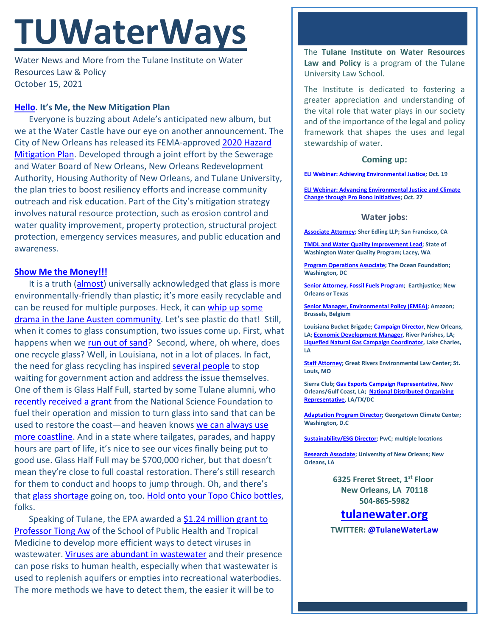# **TUWaterWays**

Water News and More from the Tulane Institute on Water Resources Law & Policy October 15, 2021

## **[Hello.](https://www.youtube.com/watch?v=YQHsXMglC9A) It's Me, the New Mitigation Plan**

Everyone is buzzing about Adele's anticipated new album, but we at the Water Castle have our eye on another announcement. The City of New Orleans has released its FEMA-approved [2020 Hazard](https://ready.nola.gov/NOLAReady/media/Assets/Hazard%20Mitigation%20Plan/2020-City-of-New-Orleans-Hazard-Mitigation-Plan.pdf)  [Mitigation Plan.](https://ready.nola.gov/NOLAReady/media/Assets/Hazard%20Mitigation%20Plan/2020-City-of-New-Orleans-Hazard-Mitigation-Plan.pdf) Developed through a joint effort by the Sewerage and Water Board of New Orleans, New Orleans Redevelopment Authority, Housing Authority of New Orleans, and Tulane University, the plan tries to boost resiliency efforts and increase community outreach and risk education. Part of the City's mitigation strategy involves natural resource protection, such as erosion control and water quality improvement, property protection, structural project protection, emergency services measures, and public education and awareness.

## **[Show Me the Money!!!](https://www.youtube.com/watch?v=mBS0OWGUidc)**

It is a truth [\(almost\)](https://www.ecowatch.com/glass-bottles-harm-environment-2648968467.html) universally acknowledged that glass is more environmentally-friendly than plastic; it's more easily recyclable and can be reused for multiple purposes. Heck, it can [whip up some](https://www.nytimes.com/2017/03/09/books/jane-austen-arsenic-glasses-death.html)  [drama in the Jane Austen community.](https://www.nytimes.com/2017/03/09/books/jane-austen-arsenic-glasses-death.html) Let's see plastic do that! Still, when it comes to glass consumption, two issues come up. First, what happens when we [run out of sand?](https://www.cnbc.com/2021/03/05/sand-shortage-the-world-is-running-out-of-a-crucial-commodity.html) Second, where, oh where, does one recycle glass? Well, in Louisiana, not in a lot of places. In fact, the need for glass recycling has inspired [several people](https://www.theadvocate.com/acadiana/news/business/article_8c5ceb16-a163-11eb-a326-13b8304ecce2.html) to stop waiting for government action and address the issue themselves. One of them is Glass Half Full, started by some Tulane alumni, who [recently received a grant](https://www.theguardian.com/us-news/2021/apr/16/recycled-glass-louisiana-eroding-coastline-dirty-divide) from the National Science Foundation to fuel their operation and mission to turn glass into sand that can be used to restore the coast—and heaven knows [we can always use](https://www.vox.com/2014/8/30/6084585/watch-how-louisianas-coastline-has-vanished-in-the-last-80-years)  [more coastline.](https://www.vox.com/2014/8/30/6084585/watch-how-louisianas-coastline-has-vanished-in-the-last-80-years) And in a state where tailgates, parades, and happy hours are part of life, it's nice to see our vices finally being put to good use. Glass Half Full may be \$700,000 richer, but that doesn't mean they're close to full coastal restoration. There's still research for them to conduct and hoops to jump through. Oh, and there's that [glass shortage](https://www.npr.org/2021/10/12/1045438354/pandemic-supply-chain-issues-now-mean-a-shortage-of-glass-jars-and-bottles) going on, too. [Hold onto your Topo Chico bottles,](https://www.dallasobserver.com/restaurants/dont-panic-but-the-topo-chico-shortage-is-getting-real-12579264) folks.

Speaking of Tulane, the EPA awarded a \$1.24 million grant to [Professor Tiong Aw](https://news.tulane.edu/pr/epa-awards-tulane-%E2%80%98virus-hunter%E2%80%99-124-million-turn-wastewater-drinking-water?utm_source=newsletter&utm_medium=email&utm_content=Read%20More&utm_campaign=Taryn%20Oct%2020) of the School of Public Health and Tropical Medicine to develop more efficient ways to detect viruses in wastewater. [Viruses are abundant in wastewater](https://www.sciencedirect.com/science/article/pii/S0048969720344399) and their presence can pose risks to human health, especially when that wastewater is used to replenish aquifers or empties into recreational waterbodies. The more methods we have to detect them, the easier it will be to

The **Tulane Institute on Water Resources Law and Policy** is a program of the Tulane University Law School.

The Institute is dedicated to fostering a greater appreciation and understanding of the vital role that water plays in our society and of the importance of the legal and policy framework that shapes the uses and legal stewardship of water.

## **Coming up:**

**[ELI Webinar: Achieving Environmental Justice;](https://www.eli.org/dinner/achieving-environmental-justice-lessons-communities-companies-and-government-eli-2021-corporate-policy-forum) Oct. 19**

**[ELI Webinar: Advancing Environmental Justice and Climate](https://www.eli.org/events/advancing-environmental-justice-and-climate-change-through-pro-bono-initiatives)  [Change through Pro Bono Initiatives;](https://www.eli.org/events/advancing-environmental-justice-and-climate-change-through-pro-bono-initiatives) Oct. 27**

#### **Water jobs:**

**[Associate Attorney;](https://sheredling.bamboohr.com/jobs/view.php?id=22&source=other) Sher Edling LLP; San Francisco, CA**

**[TMDL and Water Quality Improvement Lead;](https://www.governmentjobs.com/careers/washington/jobs/3167604/tmdl-and-water-quality-improvement-lead-environmental-specialist-4) State of Washington Water Quality Program; Lacey, WA**

**[Program Operations Associate;](https://tof.bamboohr.com/jobs/view.php?id=29) The Ocean Foundation; Washington, DC**

**[Senior Attorney, Fossil Fuels Program;](https://earthjustice.org/about/jobs/40606/senior-attorney-fossil-fuels-program) Earthjustice; New Orleans or Texas**

**[Senior Manager, Environmental Policy \(EMEA\);](https://amazon.jobs/en/jobs/1586735/senior-manager-environmental-policy-emea) Amazon; Brussels, Belgium**

**Louisiana Bucket Brigade[; Campaign Director,](https://labucketbrigade.org/now-hiring-campaign-director/) New Orleans, LA[; Economic Development Manager,](https://labucketbrigade.org/now-hiring-economic-development-manager/) River Parishes, LA; [Liquefied Natural Gas Campaign Coordinator,](https://labucketbrigade.org/now-hiring-liquefied-natural-gas-campaign-coordinator/) Lake Charles, LA**

**[Staff Attorney;](https://greatriverslaw.org/job-openings/) Great Rivers Environmental Law Center; St. Louis, MO**

**Sierra Club[; Gas Exports Campaign Representative,](https://phf.tbe.taleo.net/phf01/ats/careers/v2/viewRequisition?org=SIERRACLUB&cws=42&rid=1797) New Orleans/Gulf Coast, LA; [National Distributed Organizing](https://phf.tbe.taleo.net/phf01/ats/careers/v2/viewRequisition?org=SIERRACLUB&cws=39&rid=1790)  [Representative,](https://phf.tbe.taleo.net/phf01/ats/careers/v2/viewRequisition?org=SIERRACLUB&cws=39&rid=1790) LA/TX/DC**

**[Adaptation Program Director;](https://georgetown.wd1.myworkdayjobs.com/en-US/Georgetown_Admin_Careers/job/Law-Center/Adaptation-Program-Director--Georgetown-Climate-Center---Georgetown-University-Law-Center_JR10781) Georgetown Climate Center; Washington, D.C**

**[Sustainability/ESG Director;](https://jobs.us.pwc.com/job/-/-/932/8531402784?utm_source=linkedin.com&utm_campaign=core_media&utm_medium=social_media&utm_content=job_posting&ss=paid&dclid=CIHN-by5yvMCFUvrwAodK4kFqw) PwC; multiple locations**

**[Research Associate;](https://ulsuno.wd1.myworkdayjobs.com/en-US/UniversityOfNewOrleans/job/New-Orleans-La/Research-Associate-1_R-000365) University of New Orleans; New Orleans, LA**

> **6325 Freret Street, 1st Floor New Orleans, LA 70118 504-865-5982**

**tulanewater.org TWITTER: [@TulaneWaterLaw](http://www.twitter.com/TulaneWaterLaw)**